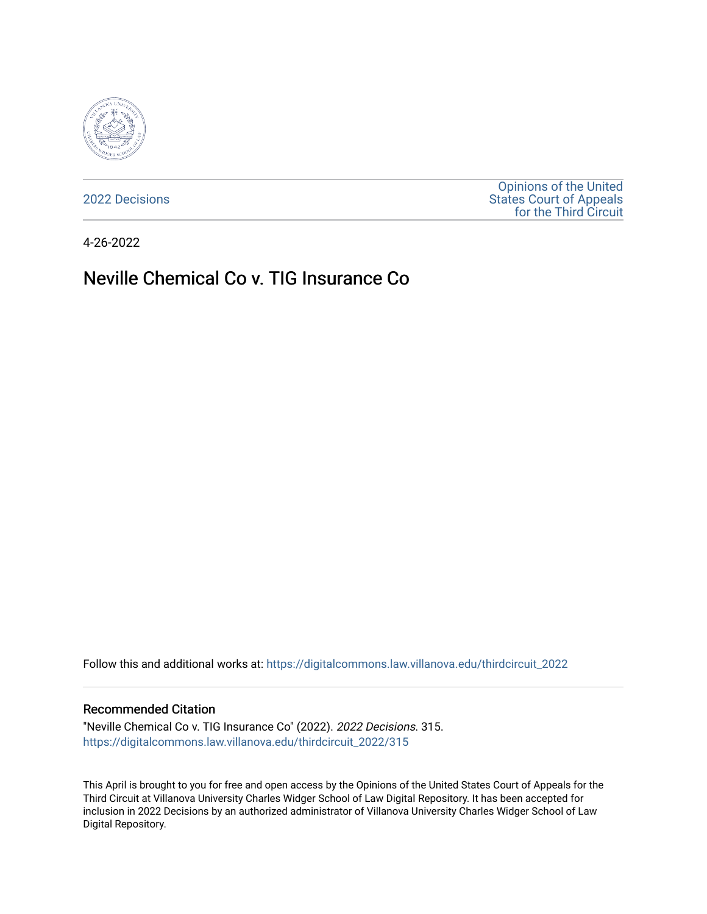

[2022 Decisions](https://digitalcommons.law.villanova.edu/thirdcircuit_2022)

[Opinions of the United](https://digitalcommons.law.villanova.edu/thirdcircuit)  [States Court of Appeals](https://digitalcommons.law.villanova.edu/thirdcircuit)  [for the Third Circuit](https://digitalcommons.law.villanova.edu/thirdcircuit) 

4-26-2022

# Neville Chemical Co v. TIG Insurance Co

Follow this and additional works at: [https://digitalcommons.law.villanova.edu/thirdcircuit\\_2022](https://digitalcommons.law.villanova.edu/thirdcircuit_2022?utm_source=digitalcommons.law.villanova.edu%2Fthirdcircuit_2022%2F315&utm_medium=PDF&utm_campaign=PDFCoverPages) 

#### Recommended Citation

"Neville Chemical Co v. TIG Insurance Co" (2022). 2022 Decisions. 315. [https://digitalcommons.law.villanova.edu/thirdcircuit\\_2022/315](https://digitalcommons.law.villanova.edu/thirdcircuit_2022/315?utm_source=digitalcommons.law.villanova.edu%2Fthirdcircuit_2022%2F315&utm_medium=PDF&utm_campaign=PDFCoverPages)

This April is brought to you for free and open access by the Opinions of the United States Court of Appeals for the Third Circuit at Villanova University Charles Widger School of Law Digital Repository. It has been accepted for inclusion in 2022 Decisions by an authorized administrator of Villanova University Charles Widger School of Law Digital Repository.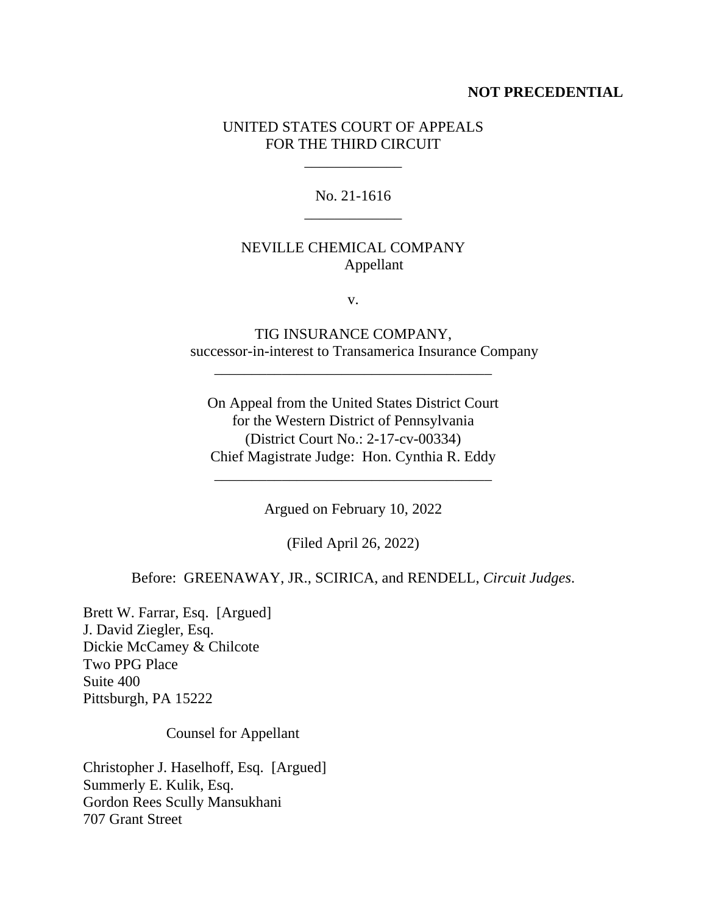#### **NOT PRECEDENTIAL**

### UNITED STATES COURT OF APPEALS FOR THE THIRD CIRCUIT

\_\_\_\_\_\_\_\_\_\_\_\_\_

### No. 21-1616 \_\_\_\_\_\_\_\_\_\_\_\_\_

## NEVILLE CHEMICAL COMPANY Appellant

v.

TIG INSURANCE COMPANY, successor-in-interest to Transamerica Insurance Company

On Appeal from the United States District Court for the Western District of Pennsylvania (District Court No.: 2-17-cv-00334) Chief Magistrate Judge: Hon. Cynthia R. Eddy

\_\_\_\_\_\_\_\_\_\_\_\_\_\_\_\_\_\_\_\_\_\_\_\_\_\_\_\_\_\_\_\_\_\_\_\_\_

Argued on February 10, 2022

\_\_\_\_\_\_\_\_\_\_\_\_\_\_\_\_\_\_\_\_\_\_\_\_\_\_\_\_\_\_\_\_\_\_\_\_\_

(Filed April 26, 2022)

Before: GREENAWAY, JR., SCIRICA, and RENDELL, *Circuit Judges*.

Brett W. Farrar, Esq. [Argued] J. David Ziegler, Esq. Dickie McCamey & Chilcote Two PPG Place Suite 400 Pittsburgh, PA 15222

Counsel for Appellant

Christopher J. Haselhoff, Esq. [Argued] Summerly E. Kulik, Esq. Gordon Rees Scully Mansukhani 707 Grant Street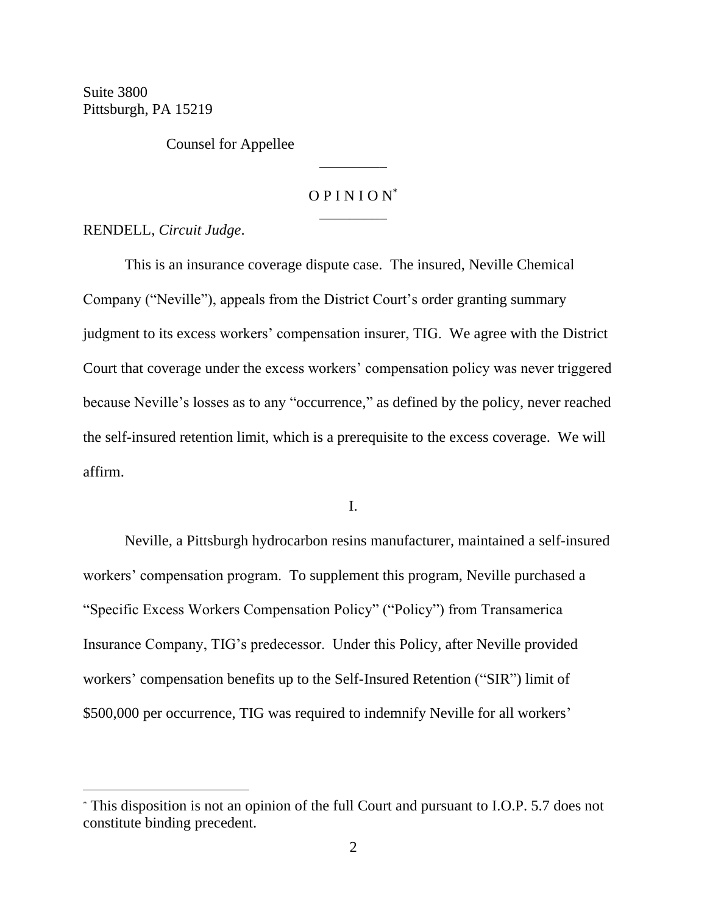Suite 3800 Pittsburgh, PA 15219

Counsel for Appellee

## $OPINION^*$ \_\_\_\_\_\_\_\_\_

\_\_\_\_\_\_\_\_\_

RENDELL, *Circuit Judge*.

This is an insurance coverage dispute case. The insured, Neville Chemical Company ("Neville"), appeals from the District Court's order granting summary judgment to its excess workers' compensation insurer, TIG. We agree with the District Court that coverage under the excess workers' compensation policy was never triggered because Neville's losses as to any "occurrence," as defined by the policy, never reached the self-insured retention limit, which is a prerequisite to the excess coverage. We will affirm.

I.

Neville, a Pittsburgh hydrocarbon resins manufacturer, maintained a self-insured workers' compensation program. To supplement this program, Neville purchased a "Specific Excess Workers Compensation Policy" ("Policy") from Transamerica Insurance Company, TIG's predecessor. Under this Policy, after Neville provided workers' compensation benefits up to the Self-Insured Retention ("SIR") limit of \$500,000 per occurrence, TIG was required to indemnify Neville for all workers'

<sup>\*</sup> This disposition is not an opinion of the full Court and pursuant to I.O.P. 5.7 does not constitute binding precedent.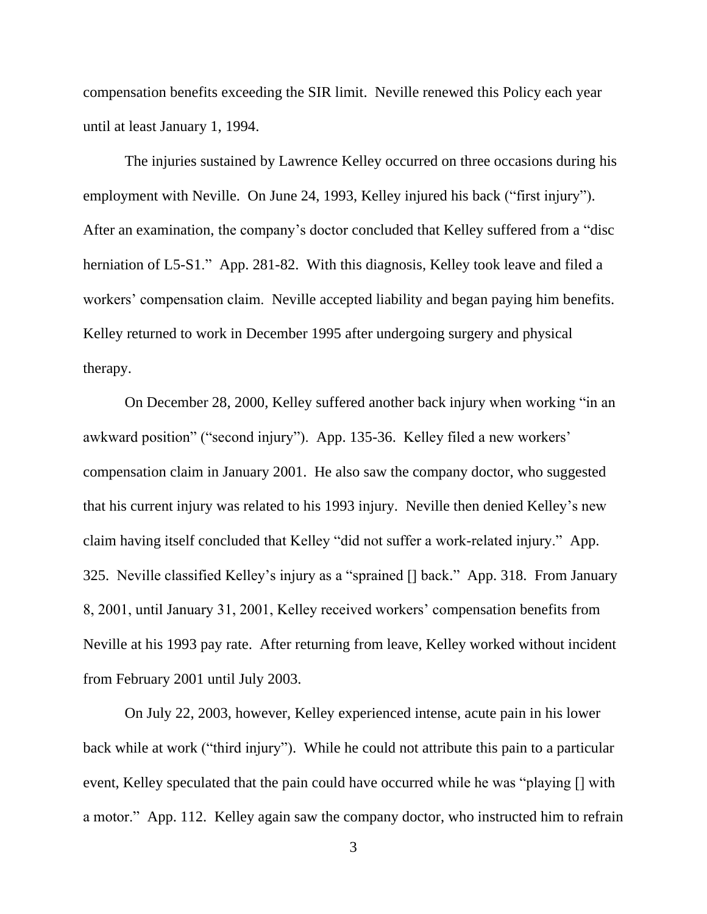compensation benefits exceeding the SIR limit. Neville renewed this Policy each year until at least January 1, 1994.

The injuries sustained by Lawrence Kelley occurred on three occasions during his employment with Neville. On June 24, 1993, Kelley injured his back ("first injury"). After an examination, the company's doctor concluded that Kelley suffered from a "disc herniation of L5-S1." App. 281-82. With this diagnosis, Kelley took leave and filed a workers' compensation claim. Neville accepted liability and began paying him benefits. Kelley returned to work in December 1995 after undergoing surgery and physical therapy.

On December 28, 2000, Kelley suffered another back injury when working "in an awkward position" ("second injury"). App. 135-36. Kelley filed a new workers' compensation claim in January 2001. He also saw the company doctor, who suggested that his current injury was related to his 1993 injury. Neville then denied Kelley's new claim having itself concluded that Kelley "did not suffer a work-related injury." App. 325. Neville classified Kelley's injury as a "sprained [] back." App. 318. From January 8, 2001, until January 31, 2001, Kelley received workers' compensation benefits from Neville at his 1993 pay rate. After returning from leave, Kelley worked without incident from February 2001 until July 2003.

On July 22, 2003, however, Kelley experienced intense, acute pain in his lower back while at work ("third injury"). While he could not attribute this pain to a particular event, Kelley speculated that the pain could have occurred while he was "playing [] with a motor." App. 112. Kelley again saw the company doctor, who instructed him to refrain

3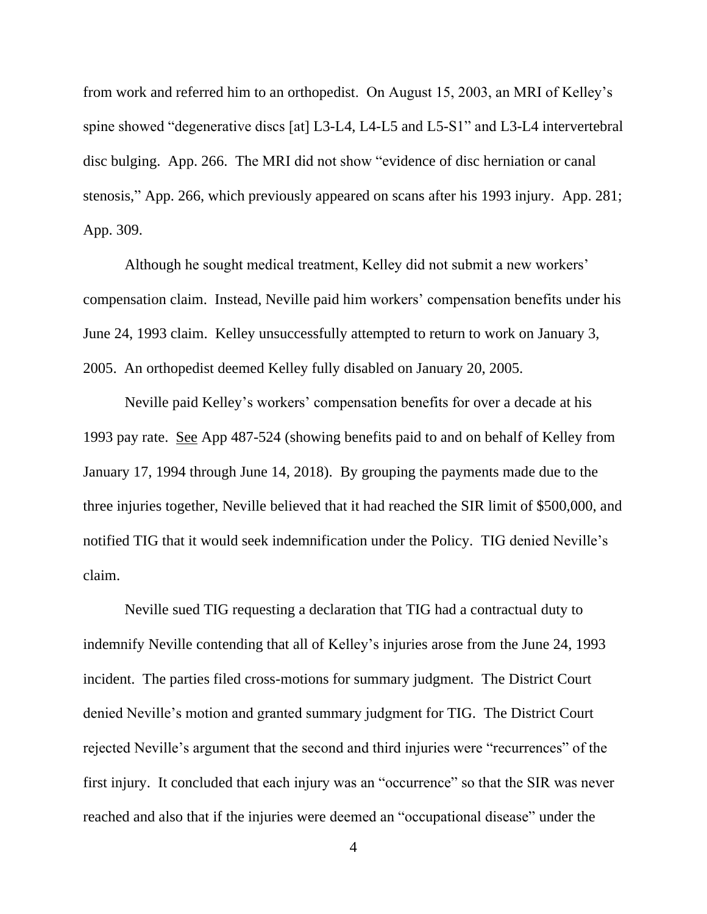from work and referred him to an orthopedist. On August 15, 2003, an MRI of Kelley's spine showed "degenerative discs [at] L3-L4, L4-L5 and L5-S1" and L3-L4 intervertebral disc bulging. App. 266. The MRI did not show "evidence of disc herniation or canal stenosis," App. 266, which previously appeared on scans after his 1993 injury. App. 281; App. 309.

Although he sought medical treatment, Kelley did not submit a new workers' compensation claim. Instead, Neville paid him workers' compensation benefits under his June 24, 1993 claim. Kelley unsuccessfully attempted to return to work on January 3, 2005. An orthopedist deemed Kelley fully disabled on January 20, 2005.

Neville paid Kelley's workers' compensation benefits for over a decade at his 1993 pay rate. See App 487-524 (showing benefits paid to and on behalf of Kelley from January 17, 1994 through June 14, 2018). By grouping the payments made due to the three injuries together, Neville believed that it had reached the SIR limit of \$500,000, and notified TIG that it would seek indemnification under the Policy. TIG denied Neville's claim.

Neville sued TIG requesting a declaration that TIG had a contractual duty to indemnify Neville contending that all of Kelley's injuries arose from the June 24, 1993 incident. The parties filed cross-motions for summary judgment. The District Court denied Neville's motion and granted summary judgment for TIG. The District Court rejected Neville's argument that the second and third injuries were "recurrences" of the first injury. It concluded that each injury was an "occurrence" so that the SIR was never reached and also that if the injuries were deemed an "occupational disease" under the

4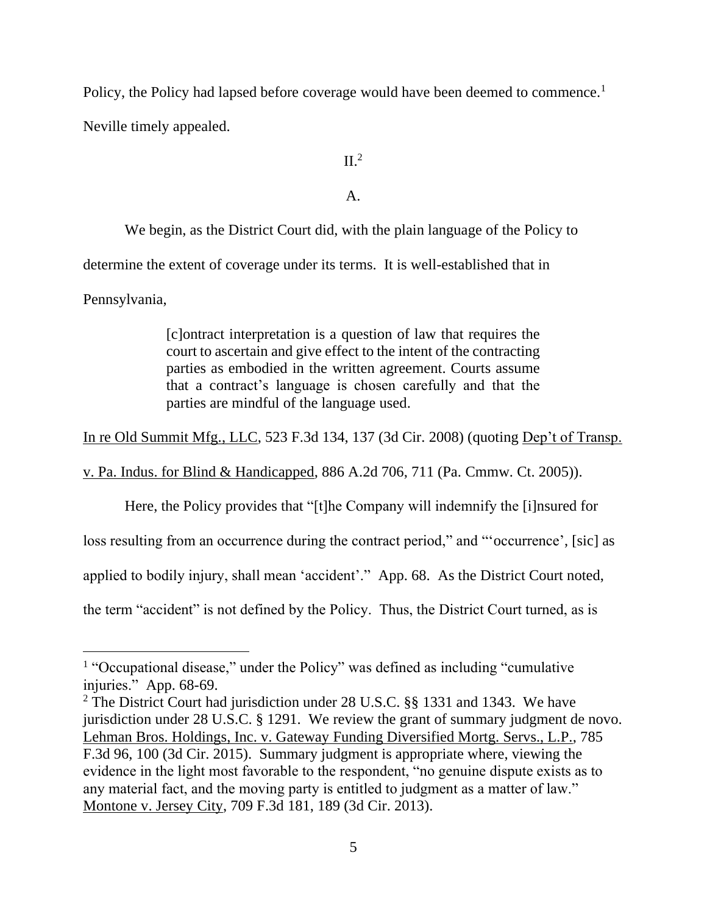Policy, the Policy had lapsed before coverage would have been deemed to commence.<sup>1</sup>

Neville timely appealed.

 $II.<sup>2</sup>$ 

A.

We begin, as the District Court did, with the plain language of the Policy to determine the extent of coverage under its terms. It is well-established that in Pennsylvania,

> [c]ontract interpretation is a question of law that requires the court to ascertain and give effect to the intent of the contracting parties as embodied in the written agreement. Courts assume that a contract's language is chosen carefully and that the parties are mindful of the language used.

In re Old Summit Mfg., LLC, 523 F.3d 134, 137 (3d Cir. 2008) (quoting Dep't of Transp.

v. Pa. Indus. for Blind & Handicapped, 886 A.2d 706, 711 (Pa. Cmmw. Ct. 2005)).

Here, the Policy provides that "[t]he Company will indemnify the [i]nsured for

loss resulting from an occurrence during the contract period," and "'occurrence', [sic] as

applied to bodily injury, shall mean 'accident'." App. 68. As the District Court noted,

the term "accident" is not defined by the Policy. Thus, the District Court turned, as is

<sup>&</sup>lt;sup>1</sup> "Occupational disease," under the Policy" was defined as including "cumulative injuries." App. 68-69.

<sup>2</sup> The District Court had jurisdiction under 28 U.S.C. §§ 1331 and 1343. We have jurisdiction under 28 U.S.C. § 1291. We review the grant of summary judgment de novo. Lehman Bros. Holdings, Inc. v. Gateway Funding Diversified Mortg. Servs., L.P., 785 F.3d 96, 100 (3d Cir. 2015). Summary judgment is appropriate where, viewing the evidence in the light most favorable to the respondent, "no genuine dispute exists as to any material fact, and the moving party is entitled to judgment as a matter of law." Montone v. Jersey City, 709 F.3d 181, 189 (3d Cir. 2013).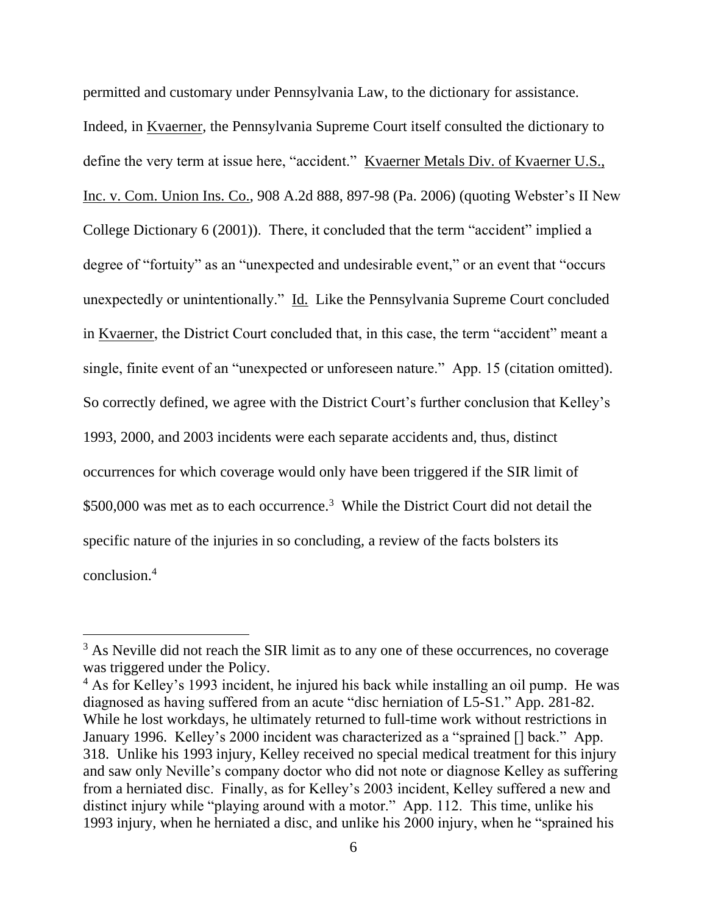permitted and customary under Pennsylvania Law, to the dictionary for assistance. Indeed, in Kvaerner, the Pennsylvania Supreme Court itself consulted the dictionary to define the very term at issue here, "accident." Kvaerner Metals Div. of Kvaerner U.S., Inc. v. Com. Union Ins. Co., 908 A.2d 888, 897-98 (Pa. 2006) (quoting Webster's II New College Dictionary 6 (2001)). There, it concluded that the term "accident" implied a degree of "fortuity" as an "unexpected and undesirable event," or an event that "occurs unexpectedly or unintentionally." Id. Like the Pennsylvania Supreme Court concluded in Kvaerner, the District Court concluded that, in this case, the term "accident" meant a single, finite event of an "unexpected or unforeseen nature." App. 15 (citation omitted). So correctly defined, we agree with the District Court's further conclusion that Kelley's 1993, 2000, and 2003 incidents were each separate accidents and, thus, distinct occurrences for which coverage would only have been triggered if the SIR limit of \$500,000 was met as to each occurrence.<sup>3</sup> While the District Court did not detail the specific nature of the injuries in so concluding, a review of the facts bolsters its conclusion.<sup>4</sup>

<sup>&</sup>lt;sup>3</sup> As Neville did not reach the SIR limit as to any one of these occurrences, no coverage was triggered under the Policy.

<sup>4</sup> As for Kelley's 1993 incident, he injured his back while installing an oil pump. He was diagnosed as having suffered from an acute "disc herniation of L5-S1." App. 281-82. While he lost workdays, he ultimately returned to full-time work without restrictions in January 1996. Kelley's 2000 incident was characterized as a "sprained [] back." App. 318. Unlike his 1993 injury, Kelley received no special medical treatment for this injury and saw only Neville's company doctor who did not note or diagnose Kelley as suffering from a herniated disc. Finally, as for Kelley's 2003 incident, Kelley suffered a new and distinct injury while "playing around with a motor." App. 112. This time, unlike his 1993 injury, when he herniated a disc, and unlike his 2000 injury, when he "sprained his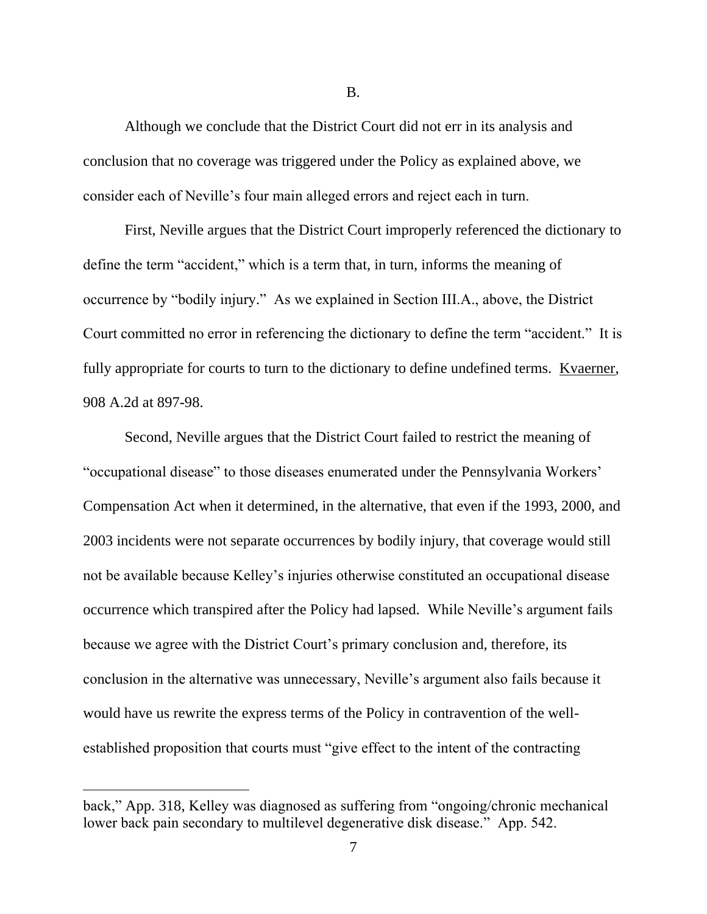Although we conclude that the District Court did not err in its analysis and conclusion that no coverage was triggered under the Policy as explained above, we consider each of Neville's four main alleged errors and reject each in turn.

First, Neville argues that the District Court improperly referenced the dictionary to define the term "accident," which is a term that, in turn, informs the meaning of occurrence by "bodily injury." As we explained in Section III.A., above, the District Court committed no error in referencing the dictionary to define the term "accident." It is fully appropriate for courts to turn to the dictionary to define undefined terms. Kvaerner, 908 A.2d at 897-98.

Second, Neville argues that the District Court failed to restrict the meaning of "occupational disease" to those diseases enumerated under the Pennsylvania Workers' Compensation Act when it determined, in the alternative, that even if the 1993, 2000, and 2003 incidents were not separate occurrences by bodily injury, that coverage would still not be available because Kelley's injuries otherwise constituted an occupational disease occurrence which transpired after the Policy had lapsed. While Neville's argument fails because we agree with the District Court's primary conclusion and, therefore, its conclusion in the alternative was unnecessary, Neville's argument also fails because it would have us rewrite the express terms of the Policy in contravention of the wellestablished proposition that courts must "give effect to the intent of the contracting

B.

back," App. 318, Kelley was diagnosed as suffering from "ongoing/chronic mechanical lower back pain secondary to multilevel degenerative disk disease." App. 542.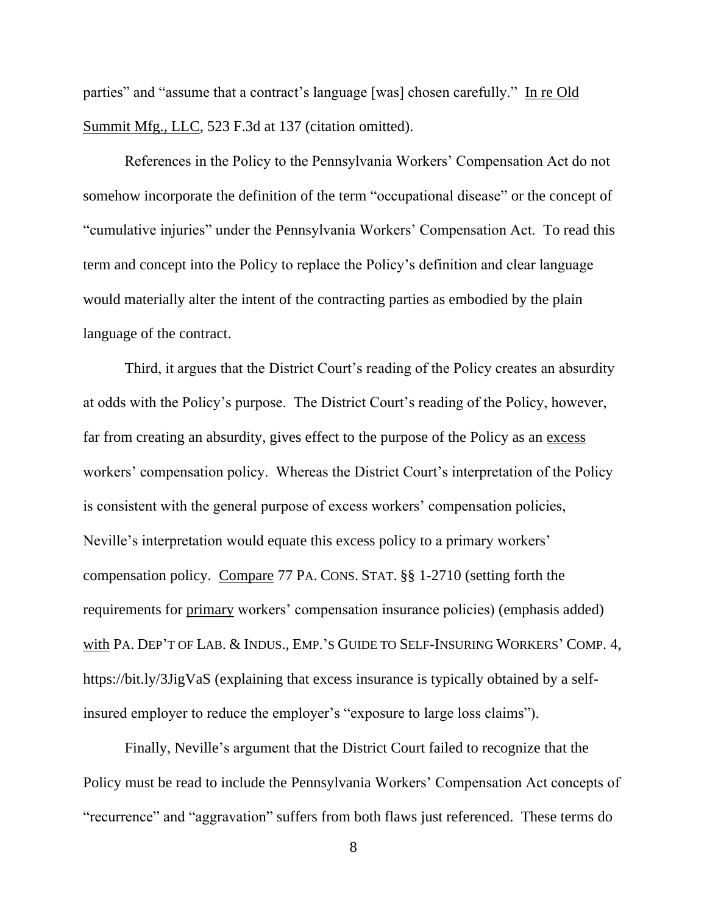parties" and "assume that a contract's language [was] chosen carefully." In re Old Summit Mfg., LLC, 523 F.3d at 137 (citation omitted).

References in the Policy to the Pennsylvania Workers' Compensation Act do not somehow incorporate the definition of the term "occupational disease" or the concept of "cumulative injuries" under the Pennsylvania Workers' Compensation Act. To read this term and concept into the Policy to replace the Policy's definition and clear language would materially alter the intent of the contracting parties as embodied by the plain language of the contract.

Third, it argues that the District Court's reading of the Policy creates an absurdity at odds with the Policy's purpose. The District Court's reading of the Policy, however, far from creating an absurdity, gives effect to the purpose of the Policy as an excess workers' compensation policy. Whereas the District Court's interpretation of the Policy is consistent with the general purpose of excess workers' compensation policies, Neville's interpretation would equate this excess policy to a primary workers' compensation policy. Compare 77 PA. CONS. STAT. §§ 1-2710 (setting forth the requirements for primary workers' compensation insurance policies) (emphasis added) with PA. DEP'T OF LAB. & INDUS., EMP.'S GUIDE TO SELF-INSURING WORKERS' COMP. 4, https://bit.ly/3JigVaS (explaining that excess insurance is typically obtained by a selfinsured employer to reduce the employer's "exposure to large loss claims").

Finally, Neville's argument that the District Court failed to recognize that the Policy must be read to include the Pennsylvania Workers' Compensation Act concepts of "recurrence" and "aggravation" suffers from both flaws just referenced. These terms do